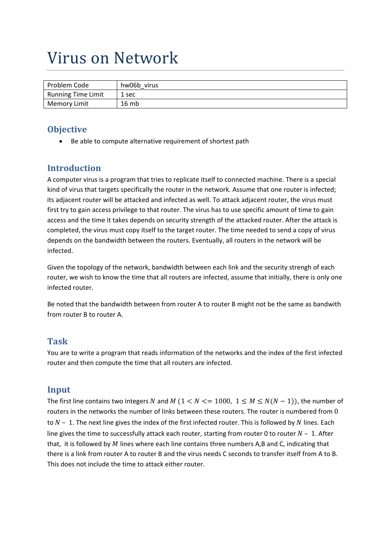# Virus on Network

| Problem Code              | hw06b virus |
|---------------------------|-------------|
| <b>Running Time Limit</b> | 1 sec       |
| <b>Memory Limit</b>       | 16 mb       |

### **Objective**

Be able to compute alternative requirement of shortest path

## **Introduction**

A computer virus is a program that tries to replicate itself to connected machine. There is a special kind of virus that targets specifically the router in the network. Assume that one router is infected; its adjacent router will be attacked and infected as well. To attack adjacent router, the virus must first try to gain access privilege to that router. The virus has to use specific amount of time to gain access and the time it takes depends on security strength of the attacked router. After the attack is completed, the virus must copy itself to the target router. The time needed to send a copy of virus depends on the bandwidth between the routers. Eventually, all routers in the network will be infected.

Given the topology of the network, bandwidth between each link and the security strengh of each router, we wish to know the time that all routers are infected, assume that initially, there is only one infected router.

Be noted that the bandwidth between from router A to router B might not be the same as bandwith from router B to router A.

#### **Task**

You are to write a program that reads information of the networks and the index of the first infected router and then compute the time that all routers are infected.

#### **Input**

The first line contains two integers N and M ( $1 < N < = 1000$ ,  $1 \le M \le N(N-1)$ ), the number of routers in the networks the number of links between these routers. The router is numbered from 0 to  $N-1$ . The next line gives the index of the first infected router. This is followed by N lines. Each line gives the time to successfully attack each router, starting from router 0 to router  $N - 1$ . After that, it is followed by  $M$  lines where each line contains three numbers A,B and C, indicating that there is a link from router A to router B and the virus needs C seconds to transfer itself from A to B. This does not include the time to attack either router.